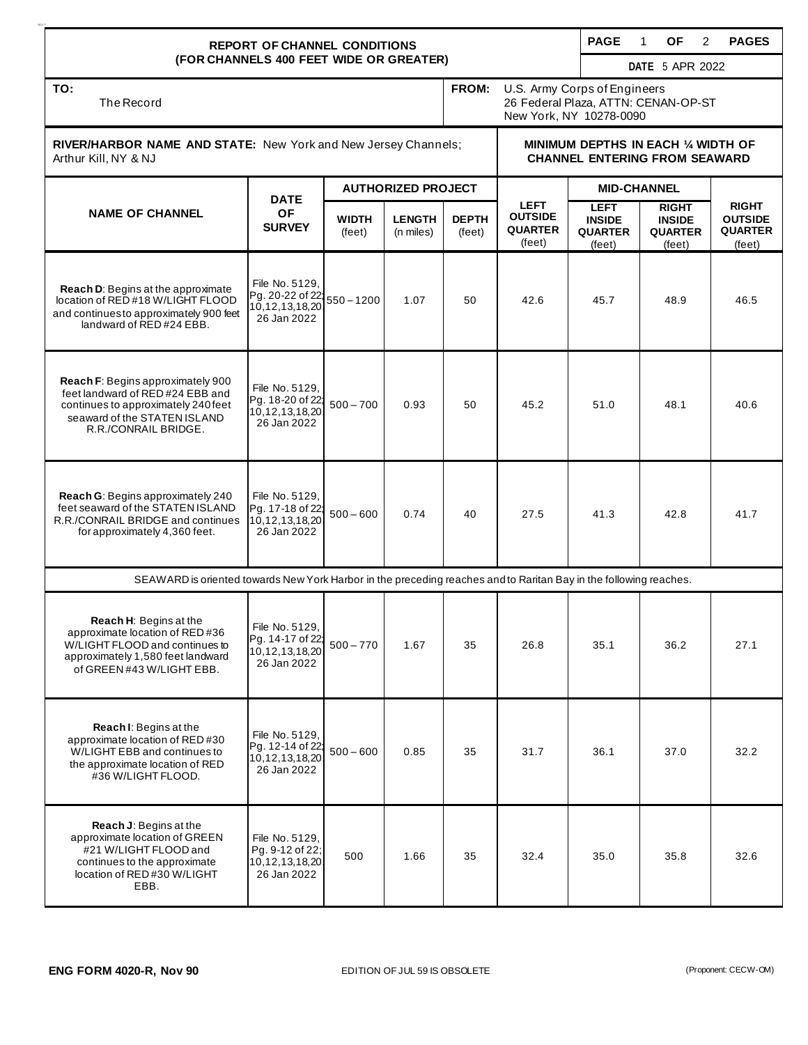| <b>REPORT OF CHANNEL CONDITIONS</b><br>(FOR CHANNELS 400 FEET WIDE OR GREATER)                                                                                       |                                                                                                                   |                           |                            |                        |                                                                                                |                                                          | <b>OF</b><br>1<br>2                                       | <b>PAGES</b>                                               |  |  |
|----------------------------------------------------------------------------------------------------------------------------------------------------------------------|-------------------------------------------------------------------------------------------------------------------|---------------------------|----------------------------|------------------------|------------------------------------------------------------------------------------------------|----------------------------------------------------------|-----------------------------------------------------------|------------------------------------------------------------|--|--|
|                                                                                                                                                                      |                                                                                                                   |                           |                            |                        |                                                                                                |                                                          | <b>DATE</b> 5 APR 2022                                    |                                                            |  |  |
| TO:<br>The Record                                                                                                                                                    |                                                                                                                   |                           |                            | FROM:                  | U.S. Army Corps of Engineers<br>26 Federal Plaza, ATTN: CENAN-OP-ST<br>New York, NY 10278-0090 |                                                          |                                                           |                                                            |  |  |
| RIVER/HARBOR NAME AND STATE: New York and New Jersey Channels;<br>Arthur Kill, NY & NJ                                                                               |                                                                                                                   |                           |                            |                        | MINIMUM DEPTHS IN EACH 1/4 WIDTH OF<br><b>CHANNEL ENTERING FROM SEAWARD</b>                    |                                                          |                                                           |                                                            |  |  |
| <b>NAME OF CHANNEL</b>                                                                                                                                               | <b>DATE</b><br><b>OF</b><br><b>SURVEY</b>                                                                         | <b>AUTHORIZED PROJECT</b> |                            |                        |                                                                                                | <b>MID-CHANNEL</b>                                       |                                                           |                                                            |  |  |
|                                                                                                                                                                      |                                                                                                                   | <b>WIDTH</b><br>(feet)    | <b>LENGTH</b><br>(n miles) | <b>DEPTH</b><br>(feet) | <b>LEFT</b><br><b>OUTSIDE</b><br><b>QUARTER</b><br>(feet)                                      | <b>LEFT</b><br><b>INSIDE</b><br><b>QUARTER</b><br>(feet) | <b>RIGHT</b><br><b>INSIDE</b><br><b>QUARTER</b><br>(feet) | <b>RIGHT</b><br><b>OUTSIDE</b><br><b>QUARTER</b><br>(feet) |  |  |
| Reach D: Begins at the approximate<br>location of RED #18 W/LIGHT FLOOD<br>and continues to approximately 900 feet<br>landward of RED#24 EBB.                        | File No. 5129.<br>Pg. 20-22 of 22;<br>10,12,13,18,20<br>26 Jan 2022                                               | $550 - 1200$              | 1.07                       | 50                     | 42.6                                                                                           | 45.7                                                     | 48.9                                                      | 46.5                                                       |  |  |
| Reach F: Begins approximately 900<br>feet landward of RED #24 EBB and<br>continues to approximately 240 feet<br>seaward of the STATEN ISLAND<br>R.R./CONRAIL BRIDGE. | File No. 5129.<br>Pg. 18-20 of 22:<br>10, 12, 13, 18, 20<br>26 Jan 2022                                           | $500 - 700$               | 0.93                       | 50                     | 45.2                                                                                           | 51.0                                                     | 48.1                                                      | 40.6                                                       |  |  |
| Reach G: Begins approximately 240<br>feet seaward of the STATEN ISLAND<br>R.R./CONRAIL BRIDGE and continues<br>for approximately 4,360 feet.                         | File No. 5129,<br>Pg. 17-18 of 22<br>10, 12, 13, 18, 20<br>26 Jan 2022                                            | $500 - 600$               | 0.74                       | 40                     | 27.5                                                                                           | 41.3                                                     | 42.8                                                      | 41.7                                                       |  |  |
|                                                                                                                                                                      | SEAWARD is oriented towards New York Harbor in the preceding reaches and to Raritan Bay in the following reaches. |                           |                            |                        |                                                                                                |                                                          |                                                           |                                                            |  |  |
| Reach H: Begins at the<br>approximate location of RED #36<br>W/LIGHT FLOOD and continues to<br>approximately 1,580 feet landward<br>of GREEN#43 W/LIGHT EBB.         | File No. 5129,<br>Pg. 14-17 of 22;<br>10,12,13,18,20<br>26 Jan 2022                                               | $500 - 770$               | 1.67                       | 35                     | 26.8                                                                                           | 35.1                                                     | 36.2                                                      | 27.1                                                       |  |  |
| Reach I: Begins at the<br>approximate location of RED #30<br>W/LIGHT EBB and continues to<br>the approximate location of RED<br>#36 W/LIGHT FLOOD.                   | File No. 5129,<br>Pg. 12-14 of 22;<br>10,12,13,18,20<br>26 Jan 2022                                               | $500 - 600$               | 0.85                       | 35                     | 31.7                                                                                           | 36.1                                                     | 37.0                                                      | 32.2                                                       |  |  |
| <b>Reach J: Begins at the</b><br>approximate location of GREEN<br>#21 W/LIGHT FLOOD and<br>continues to the approximate<br>location of RED #30 W/LIGHT<br>EBB.       | File No. 5129,<br>Pg. 9-12 of 22;<br>10,12,13,18,20<br>26 Jan 2022                                                | 500                       | 1.66                       | 35                     | 32.4                                                                                           | 35.0                                                     | 35.8                                                      | 32.6                                                       |  |  |

9517